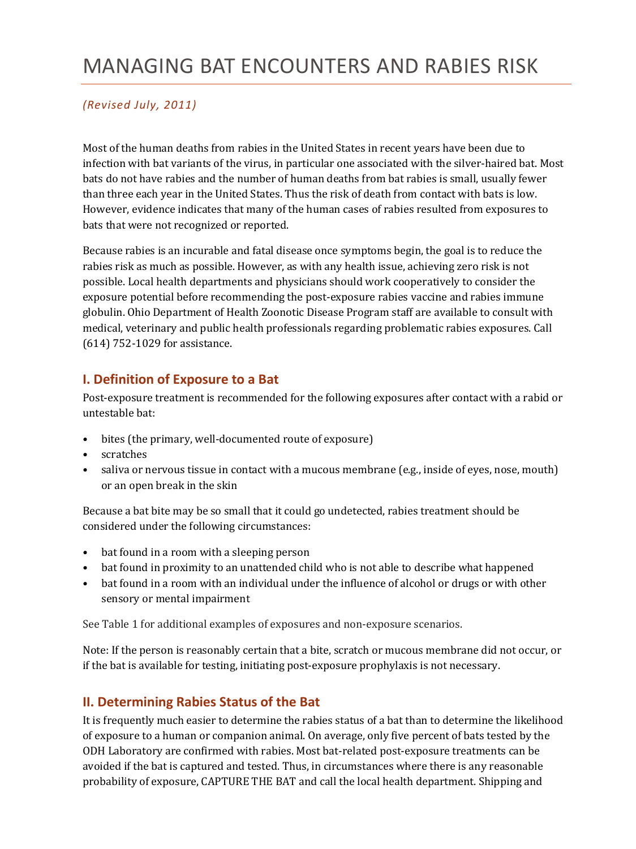# MANAGING BAT ENCOUNTERS AND RABIES RISK

### *(Revised July, 2011)*

Most of the human deaths from rabies in the United States in recent years have been due to infection with bat variants of the virus, in particular one associated with the silver-haired bat. Most bats do not have rabies and the number of human deaths from bat rabies is small, usually fewer than three each year in the United States. Thus the risk of death from contact with bats is low. However, evidence indicates that many of the human cases of rabies resulted from exposures to bats that were not recognized or reported.

Because rabies is an incurable and fatal disease once symptoms begin, the goal is to reduce the rabies risk as much as possible. However, as with any health issue, achieving zero risk is not possible. Local health departments and physicians should work cooperatively to consider the exposure potential before recommending the post-exposure rabies vaccine and rabies immune globulin. Ohio Department of Health Zoonotic Disease Program staff are available to consult with medical, veterinary and public health professionals regarding problematic rabies exposures. Call (614) 752-1029 for assistance.

### **I. Definition of Exposure to a Bat**

Post-exposure treatment is recommended for the following exposures after contact with a rabid or untestable bat:

- bites (the primary, well-documented route of exposure)
- scratches
- saliva or nervous tissue in contact with a mucous membrane (e.g., inside of eyes, nose, mouth) or an open break in the skin

Because a bat bite may be so small that it could go undetected, rabies treatment should be considered under the following circumstances:

- bat found in a room with a sleeping person
- bat found in proximity to an unattended child who is not able to describe what happened
- bat found in a room with an individual under the influence of alcohol or drugs or with other sensory or mental impairment

See Table 1 for additional examples of exposures and non-exposure scenarios.

Note: If the person is reasonably certain that a bite, scratch or mucous membrane did not occur, or if the bat is available for testing, initiating post-exposure prophylaxis is not necessary.

## **II. Determining Rabies Status of the Bat**

It is frequently much easier to determine the rabies status of a bat than to determine the likelihood of exposure to a human or companion animal. On average, only five percent of bats tested by the ODH Laboratory are confirmed with rabies. Most bat-related post-exposure treatments can be avoided if the bat is captured and tested. Thus, in circumstances where there is any reasonable probability of exposure, CAPTURE THE BAT and call the local health department. Shipping and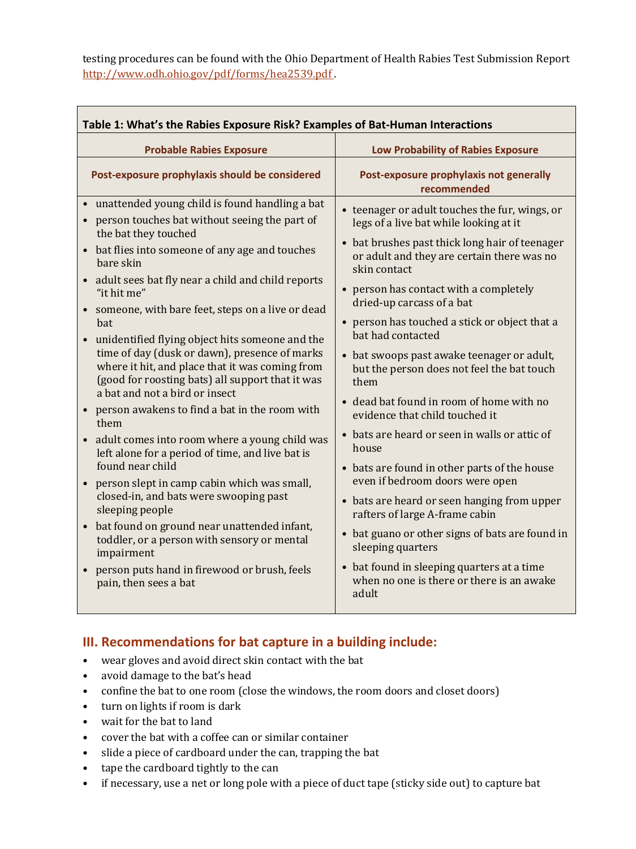testing procedures can be found with the Ohio Department of Health Rabies Test Submission Report <http://www.odh.ohio.gov/pdf/forms/hea2539.pdf> .

| Table 1: What's the Rabies Exposure Risk? Examples of Bat-Human Interactions                                                                                                                                                                                                                                                                                                                                                                                                                                                                                                                                                                                                                                                                                                                                                                                                                                                                                                                                                                                                                                                                    |                                                                                                                                                                                                                                                                                                                                                                                                                                                                                                                                                                                                                                                                                                                                                                                                                                                                                                                                                   |
|-------------------------------------------------------------------------------------------------------------------------------------------------------------------------------------------------------------------------------------------------------------------------------------------------------------------------------------------------------------------------------------------------------------------------------------------------------------------------------------------------------------------------------------------------------------------------------------------------------------------------------------------------------------------------------------------------------------------------------------------------------------------------------------------------------------------------------------------------------------------------------------------------------------------------------------------------------------------------------------------------------------------------------------------------------------------------------------------------------------------------------------------------|---------------------------------------------------------------------------------------------------------------------------------------------------------------------------------------------------------------------------------------------------------------------------------------------------------------------------------------------------------------------------------------------------------------------------------------------------------------------------------------------------------------------------------------------------------------------------------------------------------------------------------------------------------------------------------------------------------------------------------------------------------------------------------------------------------------------------------------------------------------------------------------------------------------------------------------------------|
| <b>Probable Rabies Exposure</b>                                                                                                                                                                                                                                                                                                                                                                                                                                                                                                                                                                                                                                                                                                                                                                                                                                                                                                                                                                                                                                                                                                                 | <b>Low Probability of Rabies Exposure</b>                                                                                                                                                                                                                                                                                                                                                                                                                                                                                                                                                                                                                                                                                                                                                                                                                                                                                                         |
| Post-exposure prophylaxis should be considered                                                                                                                                                                                                                                                                                                                                                                                                                                                                                                                                                                                                                                                                                                                                                                                                                                                                                                                                                                                                                                                                                                  | Post-exposure prophylaxis not generally<br>recommended                                                                                                                                                                                                                                                                                                                                                                                                                                                                                                                                                                                                                                                                                                                                                                                                                                                                                            |
| unattended young child is found handling a bat<br>$\bullet$<br>person touches bat without seeing the part of<br>$\bullet$<br>the bat they touched<br>bat flies into someone of any age and touches<br>$\bullet$<br>bare skin<br>adult sees bat fly near a child and child reports<br>"it hit me"<br>someone, with bare feet, steps on a live or dead<br>bat<br>unidentified flying object hits someone and the<br>$\bullet$<br>time of day (dusk or dawn), presence of marks<br>where it hit, and place that it was coming from<br>(good for roosting bats) all support that it was<br>a bat and not a bird or insect<br>person awakens to find a bat in the room with<br>$\bullet$<br>them<br>adult comes into room where a young child was<br>left alone for a period of time, and live bat is<br>found near child<br>person slept in camp cabin which was small,<br>$\bullet$<br>closed-in, and bats were swooping past<br>sleeping people<br>bat found on ground near unattended infant,<br>$\bullet$<br>toddler, or a person with sensory or mental<br>impairment<br>person puts hand in firewood or brush, feels<br>pain, then sees a bat | • teenager or adult touches the fur, wings, or<br>legs of a live bat while looking at it<br>• bat brushes past thick long hair of teenager<br>or adult and they are certain there was no<br>skin contact<br>• person has contact with a completely<br>dried-up carcass of a bat<br>• person has touched a stick or object that a<br>bat had contacted<br>• bat swoops past awake teenager or adult,<br>but the person does not feel the bat touch<br>them<br>• dead bat found in room of home with no<br>evidence that child touched it<br>• bats are heard or seen in walls or attic of<br>house<br>• bats are found in other parts of the house<br>even if bedroom doors were open<br>• bats are heard or seen hanging from upper<br>rafters of large A-frame cabin<br>• bat guano or other signs of bats are found in<br>sleeping quarters<br>• bat found in sleeping quarters at a time<br>when no one is there or there is an awake<br>adult |

## **III. Recommendations for bat capture in a building include:**

- wear gloves and avoid direct skin contact with the bat
- avoid damage to the bat's head
- confine the bat to one room (close the windows, the room doors and closet doors)
- turn on lights if room is dark
- wait for the bat to land
- cover the bat with a coffee can or similar container
- slide a piece of cardboard under the can, trapping the bat
- tape the cardboard tightly to the can
- if necessary, use a net or long pole with a piece of duct tape (sticky side out) to capture bat